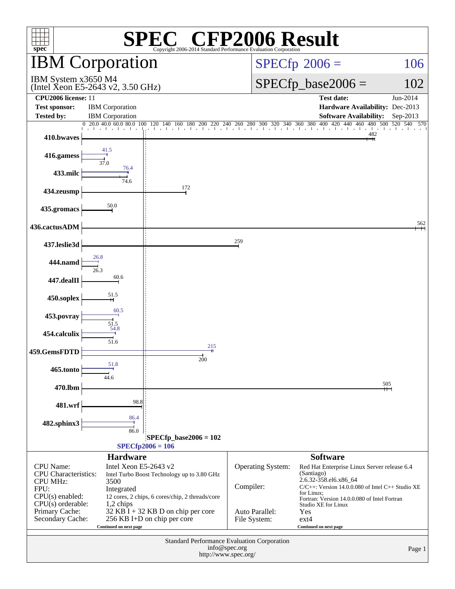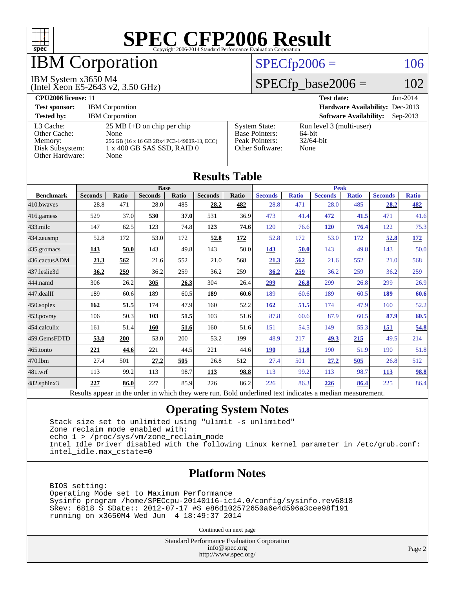

## IBM Corporation

#### $SPECfp2006 = 106$  $SPECfp2006 = 106$

#### IBM System x3650 M4

(Intel Xeon E5-2643 v2, 3.50 GHz)

 $SPECfp\_base2006 = 102$ 

| CPU <sub>2006</sub> license: 11                                            |                                                                                                                                   |                                                                                    | <b>Test date:</b><br>$Jun-2014$                            |  |
|----------------------------------------------------------------------------|-----------------------------------------------------------------------------------------------------------------------------------|------------------------------------------------------------------------------------|------------------------------------------------------------|--|
| <b>Test sponsor:</b>                                                       | <b>IBM</b> Corporation                                                                                                            |                                                                                    | Hardware Availability: Dec-2013                            |  |
| <b>Tested by:</b>                                                          | <b>IBM</b> Corporation                                                                                                            |                                                                                    | <b>Software Availability:</b><br>$Sep-2013$                |  |
| L3 Cache:<br>Other Cache:<br>Memory:<br>Disk Subsystem:<br>Other Hardware: | $25 \text{ MB I+D}$ on chip per chip<br>None<br>256 GB (16 x 16 GB 2Rx4 PC3-14900R-13, ECC)<br>1 x 400 GB SAS SSD, RAID 0<br>None | <b>System State:</b><br><b>Base Pointers:</b><br>Peak Pointers:<br>Other Software: | Run level 3 (multi-user)<br>64-bit<br>$32/64$ -bit<br>None |  |

**[Results Table](http://www.spec.org/auto/cpu2006/Docs/result-fields.html#ResultsTable)**

| Results Table          |                                                                                                          |              |                |       |                |             |                |              |                |              |                |              |
|------------------------|----------------------------------------------------------------------------------------------------------|--------------|----------------|-------|----------------|-------------|----------------|--------------|----------------|--------------|----------------|--------------|
|                        | <b>Base</b>                                                                                              |              |                |       |                | <b>Peak</b> |                |              |                |              |                |              |
| <b>Benchmark</b>       | <b>Seconds</b>                                                                                           | <b>Ratio</b> | <b>Seconds</b> | Ratio | <b>Seconds</b> | Ratio       | <b>Seconds</b> | <b>Ratio</b> | <b>Seconds</b> | <b>Ratio</b> | <b>Seconds</b> | <b>Ratio</b> |
| $410$ .bwayes          | 28.8                                                                                                     | 471          | 28.0           | 485   | 28.2           | 482         | 28.8           | 471          | 28.0           | 485          | 28.2           | 482          |
| 416.gamess             | 529                                                                                                      | 37.0         | 530            | 37.0  | 531            | 36.9        | 473            | 41.4         | 472            | 41.5         | 471            | 41.6         |
| $433$ .milc            | 147                                                                                                      | 62.5         | 123            | 74.8  | 123            | 74.6        | 120            | 76.6         | <b>120</b>     | 76.4         | 122            | 75.3         |
| $ 434$ . zeusmp        | 52.8                                                                                                     | 172          | 53.0           | 172   | 52.8           | 172         | 52.8           | 172          | 53.0           | 172          | 52.8           | <u>172</u>   |
| $ 435.\text{gromacs}$  | 143                                                                                                      | 50.0         | 143            | 49.8  | 143            | 50.0        | 143            | 50.0         | 143            | 49.8         | 143            | 50.0         |
| 436.cactusADM          | 21.3                                                                                                     | 562          | 21.6           | 552   | 21.0           | 568         | 21.3           | 562          | 21.6           | 552          | 21.0           | 568          |
| 437.leslie3d           | 36.2                                                                                                     | 259          | 36.2           | 259   | 36.2           | 259         | 36.2           | 259          | 36.2           | 259          | 36.2           | 259          |
| 444.namd               | 306                                                                                                      | 26.2         | 305            | 26.3  | 304            | 26.4        | 299            | 26.8         | 299            | 26.8         | 299            | 26.9         |
| $ 447 \text{.}$ dealII | 189                                                                                                      | 60.6         | 189            | 60.5  | 189            | 60.6        | 189            | 60.6         | 189            | 60.5         | 189            | 60.6         |
| $450$ .soplex          | 162                                                                                                      | 51.5         | 174            | 47.9  | 160            | 52.2        | 162            | 51.5         | 174            | 47.9         | 160            | 52.2         |
| $453$ .povray          | 106                                                                                                      | 50.3         | 103            | 51.5  | 103            | 51.6        | 87.8           | 60.6         | 87.9           | 60.5         | 87.9           | 60.5         |
| $454$ .calculix        | 161                                                                                                      | 51.4         | 160            | 51.6  | 160            | 51.6        | 151            | 54.5         | 149            | 55.3         | 151            | 54.8         |
| 459.GemsFDTD           | 53.0                                                                                                     | 200          | 53.0           | 200   | 53.2           | 199         | 48.9           | 217          | 49.3           | 215          | 49.5           | 214          |
| $465$ .tonto           | 221                                                                                                      | 44.6         | 221            | 44.5  | 221            | 44.6        | <b>190</b>     | 51.8         | 190            | 51.9         | 190            | 51.8         |
| 470.lbm                | 27.4                                                                                                     | 501          | 27.2           | 505   | 26.8           | 512         | 27.4           | 501          | 27.2           | 505          | 26.8           | 512          |
| 481.wrf                | 113                                                                                                      | 99.2         | 113            | 98.7  | 113            | 98.8        | 113            | 99.2         | 113            | 98.7         | <b>113</b>     | 98.8         |
| $482$ .sphinx $3$      | 227                                                                                                      | 86.0         | 227            | 85.9  | 226            | 86.2        | 226            | 86.3         | 226            | 86.4         | 225            | 86.4         |
|                        | Results appear in the order in which they were run. Bold underlined text indicates a median measurement. |              |                |       |                |             |                |              |                |              |                |              |

#### **[Operating System Notes](http://www.spec.org/auto/cpu2006/Docs/result-fields.html#OperatingSystemNotes)**

 Stack size set to unlimited using "ulimit -s unlimited" Zone reclaim mode enabled with: echo 1 > /proc/sys/vm/zone\_reclaim\_mode Intel Idle Driver disabled with the following Linux kernel parameter in /etc/grub.conf: intel\_idle.max\_cstate=0

#### **[Platform Notes](http://www.spec.org/auto/cpu2006/Docs/result-fields.html#PlatformNotes)**

 BIOS setting: Operating Mode set to Maximum Performance Sysinfo program /home/SPECcpu-20140116-ic14.0/config/sysinfo.rev6818 \$Rev: 6818 \$ \$Date:: 2012-07-17 #\$ e86d102572650a6e4d596a3cee98f191 running on x3650M4 Wed Jun 4 18:49:37 2014

Continued on next page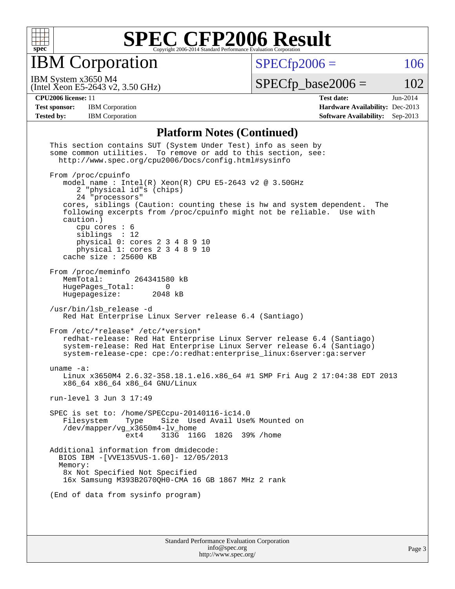

IBM Corporation

 $SPECfp2006 = 106$  $SPECfp2006 = 106$ 

(Intel Xeon E5-2643 v2, 3.50 GHz) IBM System x3650 M4

 $SPECTp\_base2006 = 102$ 

**[CPU2006 license:](http://www.spec.org/auto/cpu2006/Docs/result-fields.html#CPU2006license)** 11 **[Test date:](http://www.spec.org/auto/cpu2006/Docs/result-fields.html#Testdate)** Jun-2014 **[Test sponsor:](http://www.spec.org/auto/cpu2006/Docs/result-fields.html#Testsponsor)** IBM Corporation **[Hardware Availability:](http://www.spec.org/auto/cpu2006/Docs/result-fields.html#HardwareAvailability)** Dec-2013 **[Tested by:](http://www.spec.org/auto/cpu2006/Docs/result-fields.html#Testedby)** IBM Corporation **[Software Availability:](http://www.spec.org/auto/cpu2006/Docs/result-fields.html#SoftwareAvailability)** Sep-2013

#### **[Platform Notes \(Continued\)](http://www.spec.org/auto/cpu2006/Docs/result-fields.html#PlatformNotes)**

| This section contains SUT (System Under Test) info as seen by<br>some common utilities. To remove or add to this section, see:<br>http://www.spec.org/cpu2006/Docs/config.html#sysinfo                                                                                                                                                                                                                                               |
|--------------------------------------------------------------------------------------------------------------------------------------------------------------------------------------------------------------------------------------------------------------------------------------------------------------------------------------------------------------------------------------------------------------------------------------|
| From /proc/cpuinfo<br>model name: $Intel(R)$ Xeon(R) CPU E5-2643 v2 @ 3.50GHz<br>2 "physical id"s (chips)<br>24 "processors"<br>cores, siblings (Caution: counting these is hw and system dependent.<br>The<br>following excerpts from /proc/cpuinfo might not be reliable. Use with<br>caution.)<br>cpu cores $: 6$<br>siblings : 12<br>physical 0: cores 2 3 4 8 9 10<br>physical 1: cores 2 3 4 8 9 10<br>cache size $: 25600$ KB |
| From /proc/meminfo<br>MemTotal:<br>264341580 kB<br>HugePages_Total:<br>0<br>Hugepagesize: 2048 kB                                                                                                                                                                                                                                                                                                                                    |
| /usr/bin/lsb_release -d<br>Red Hat Enterprise Linux Server release 6.4 (Santiago)                                                                                                                                                                                                                                                                                                                                                    |
| From /etc/*release* /etc/*version*<br>redhat-release: Red Hat Enterprise Linux Server release 6.4 (Santiago)<br>system-release: Red Hat Enterprise Linux Server release 6.4 (Santiago)<br>system-release-cpe: cpe:/o:redhat:enterprise_linux:6server:ga:server                                                                                                                                                                       |
| uname $-a$ :<br>Linux x3650M4 2.6.32-358.18.1.el6.x86_64 #1 SMP Fri Aug 2 17:04:38 EDT 2013<br>x86_64 x86_64 x86_64 GNU/Linux                                                                                                                                                                                                                                                                                                        |
| run-level 3 Jun 3 17:49                                                                                                                                                                                                                                                                                                                                                                                                              |
| SPEC is set to: /home/SPECcpu-20140116-ic14.0<br>Size Used Avail Use% Mounted on<br>Filesystem<br>Type<br>/dev/mapper/vg_x3650m4-lv_home<br>313G 116G 182G 39% / home<br>ext4                                                                                                                                                                                                                                                        |
| Additional information from dmidecode:<br>BIOS IBM -[VVE135VUS-1.60]- 12/05/2013<br>Memory:<br>8x Not Specified Not Specified<br>16x Samsung M393B2G70QH0-CMA 16 GB 1867 MHz 2 rank                                                                                                                                                                                                                                                  |
| (End of data from sysinfo program)                                                                                                                                                                                                                                                                                                                                                                                                   |
|                                                                                                                                                                                                                                                                                                                                                                                                                                      |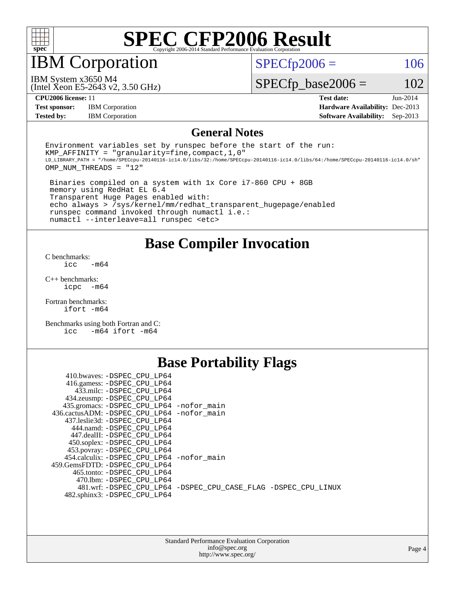

IBM Corporation

 $SPECTp2006 = 106$ 

(Intel Xeon E5-2643 v2, 3.50 GHz) IBM System x3650 M4

 $SPECfp\_base2006 = 102$ 

**[Test sponsor:](http://www.spec.org/auto/cpu2006/Docs/result-fields.html#Testsponsor)** IBM Corporation **[Hardware Availability:](http://www.spec.org/auto/cpu2006/Docs/result-fields.html#HardwareAvailability)** Dec-2013

**[CPU2006 license:](http://www.spec.org/auto/cpu2006/Docs/result-fields.html#CPU2006license)** 11 **[Test date:](http://www.spec.org/auto/cpu2006/Docs/result-fields.html#Testdate)** Jun-2014 **[Tested by:](http://www.spec.org/auto/cpu2006/Docs/result-fields.html#Testedby)** IBM Corporation **[Software Availability:](http://www.spec.org/auto/cpu2006/Docs/result-fields.html#SoftwareAvailability)** Sep-2013

#### **[General Notes](http://www.spec.org/auto/cpu2006/Docs/result-fields.html#GeneralNotes)**

Environment variables set by runspec before the start of the run: KMP AFFINITY = "granularity=fine, compact,  $1,0$ " LD\_LIBRARY\_PATH = "/home/SPECcpu-20140116-ic14.0/libs/32:/home/SPECcpu-20140116-ic14.0/libs/64:/home/SPECcpu-20140116-ic14.0/sh" OMP\_NUM\_THREADS = "12"

 Binaries compiled on a system with 1x Core i7-860 CPU + 8GB memory using RedHat EL 6.4 Transparent Huge Pages enabled with: echo always > /sys/kernel/mm/redhat\_transparent\_hugepage/enabled runspec command invoked through numactl i.e.: numactl --interleave=all runspec <etc>

**[Base Compiler Invocation](http://www.spec.org/auto/cpu2006/Docs/result-fields.html#BaseCompilerInvocation)**

[C benchmarks](http://www.spec.org/auto/cpu2006/Docs/result-fields.html#Cbenchmarks):  $\text{icc}$   $-\text{m64}$ 

[C++ benchmarks:](http://www.spec.org/auto/cpu2006/Docs/result-fields.html#CXXbenchmarks) [icpc -m64](http://www.spec.org/cpu2006/results/res2014q3/cpu2006-20140611-29860.flags.html#user_CXXbase_intel_icpc_64bit_bedb90c1146cab66620883ef4f41a67e)

[Fortran benchmarks](http://www.spec.org/auto/cpu2006/Docs/result-fields.html#Fortranbenchmarks): [ifort -m64](http://www.spec.org/cpu2006/results/res2014q3/cpu2006-20140611-29860.flags.html#user_FCbase_intel_ifort_64bit_ee9d0fb25645d0210d97eb0527dcc06e)

[Benchmarks using both Fortran and C](http://www.spec.org/auto/cpu2006/Docs/result-fields.html#BenchmarksusingbothFortranandC): [icc -m64](http://www.spec.org/cpu2006/results/res2014q3/cpu2006-20140611-29860.flags.html#user_CC_FCbase_intel_icc_64bit_0b7121f5ab7cfabee23d88897260401c) [ifort -m64](http://www.spec.org/cpu2006/results/res2014q3/cpu2006-20140611-29860.flags.html#user_CC_FCbase_intel_ifort_64bit_ee9d0fb25645d0210d97eb0527dcc06e)

### **[Base Portability Flags](http://www.spec.org/auto/cpu2006/Docs/result-fields.html#BasePortabilityFlags)**

| 410.bwaves: -DSPEC CPU LP64                 |                                                                |
|---------------------------------------------|----------------------------------------------------------------|
| 416.gamess: -DSPEC_CPU_LP64                 |                                                                |
| 433.milc: -DSPEC CPU LP64                   |                                                                |
| 434.zeusmp: - DSPEC_CPU_LP64                |                                                                |
| 435.gromacs: -DSPEC_CPU_LP64 -nofor_main    |                                                                |
| 436.cactusADM: -DSPEC CPU LP64 -nofor main  |                                                                |
| 437.leslie3d: -DSPEC CPU LP64               |                                                                |
| 444.namd: -DSPEC CPU LP64                   |                                                                |
| 447.dealII: -DSPEC CPU LP64                 |                                                                |
| 450.soplex: -DSPEC_CPU_LP64                 |                                                                |
| 453.povray: -DSPEC_CPU_LP64                 |                                                                |
| 454.calculix: - DSPEC CPU LP64 - nofor main |                                                                |
| 459.GemsFDTD: - DSPEC_CPU LP64              |                                                                |
| 465.tonto: - DSPEC CPU LP64                 |                                                                |
| 470.1bm: - DSPEC CPU LP64                   |                                                                |
|                                             | 481.wrf: -DSPEC CPU_LP64 -DSPEC_CPU_CASE_FLAG -DSPEC_CPU_LINUX |
| 482.sphinx3: -DSPEC_CPU_LP64                |                                                                |
|                                             |                                                                |

| <b>Standard Performance Evaluation Corporation</b> |
|----------------------------------------------------|
| info@spec.org                                      |
| http://www.spec.org/                               |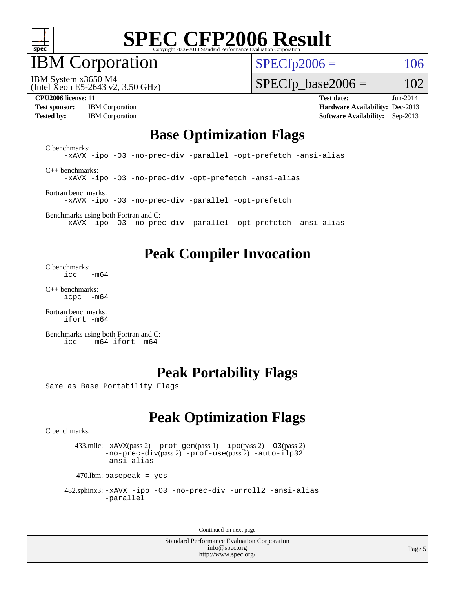

IBM Corporation

 $SPECfp2006 = 106$  $SPECfp2006 = 106$ 

(Intel Xeon E5-2643 v2, 3.50 GHz) IBM System x3650 M4

 $SPECfp\_base2006 = 102$ 

**[Test sponsor:](http://www.spec.org/auto/cpu2006/Docs/result-fields.html#Testsponsor)** IBM Corporation **[Hardware Availability:](http://www.spec.org/auto/cpu2006/Docs/result-fields.html#HardwareAvailability)** Dec-2013 **[Tested by:](http://www.spec.org/auto/cpu2006/Docs/result-fields.html#Testedby)** IBM Corporation **[Software Availability:](http://www.spec.org/auto/cpu2006/Docs/result-fields.html#SoftwareAvailability)** Sep-2013

**[CPU2006 license:](http://www.spec.org/auto/cpu2006/Docs/result-fields.html#CPU2006license)** 11 **[Test date:](http://www.spec.org/auto/cpu2006/Docs/result-fields.html#Testdate)** Jun-2014

#### **[Base Optimization Flags](http://www.spec.org/auto/cpu2006/Docs/result-fields.html#BaseOptimizationFlags)**

[C benchmarks](http://www.spec.org/auto/cpu2006/Docs/result-fields.html#Cbenchmarks): [-xAVX](http://www.spec.org/cpu2006/results/res2014q3/cpu2006-20140611-29860.flags.html#user_CCbase_f-xAVX) [-ipo](http://www.spec.org/cpu2006/results/res2014q3/cpu2006-20140611-29860.flags.html#user_CCbase_f-ipo) [-O3](http://www.spec.org/cpu2006/results/res2014q3/cpu2006-20140611-29860.flags.html#user_CCbase_f-O3) [-no-prec-div](http://www.spec.org/cpu2006/results/res2014q3/cpu2006-20140611-29860.flags.html#user_CCbase_f-no-prec-div) [-parallel](http://www.spec.org/cpu2006/results/res2014q3/cpu2006-20140611-29860.flags.html#user_CCbase_f-parallel) [-opt-prefetch](http://www.spec.org/cpu2006/results/res2014q3/cpu2006-20140611-29860.flags.html#user_CCbase_f-opt-prefetch) [-ansi-alias](http://www.spec.org/cpu2006/results/res2014q3/cpu2006-20140611-29860.flags.html#user_CCbase_f-ansi-alias) [C++ benchmarks:](http://www.spec.org/auto/cpu2006/Docs/result-fields.html#CXXbenchmarks)

[-xAVX](http://www.spec.org/cpu2006/results/res2014q3/cpu2006-20140611-29860.flags.html#user_CXXbase_f-xAVX) [-ipo](http://www.spec.org/cpu2006/results/res2014q3/cpu2006-20140611-29860.flags.html#user_CXXbase_f-ipo) [-O3](http://www.spec.org/cpu2006/results/res2014q3/cpu2006-20140611-29860.flags.html#user_CXXbase_f-O3) [-no-prec-div](http://www.spec.org/cpu2006/results/res2014q3/cpu2006-20140611-29860.flags.html#user_CXXbase_f-no-prec-div) [-opt-prefetch](http://www.spec.org/cpu2006/results/res2014q3/cpu2006-20140611-29860.flags.html#user_CXXbase_f-opt-prefetch) [-ansi-alias](http://www.spec.org/cpu2006/results/res2014q3/cpu2006-20140611-29860.flags.html#user_CXXbase_f-ansi-alias)

[Fortran benchmarks](http://www.spec.org/auto/cpu2006/Docs/result-fields.html#Fortranbenchmarks): [-xAVX](http://www.spec.org/cpu2006/results/res2014q3/cpu2006-20140611-29860.flags.html#user_FCbase_f-xAVX) [-ipo](http://www.spec.org/cpu2006/results/res2014q3/cpu2006-20140611-29860.flags.html#user_FCbase_f-ipo) [-O3](http://www.spec.org/cpu2006/results/res2014q3/cpu2006-20140611-29860.flags.html#user_FCbase_f-O3) [-no-prec-div](http://www.spec.org/cpu2006/results/res2014q3/cpu2006-20140611-29860.flags.html#user_FCbase_f-no-prec-div) [-parallel](http://www.spec.org/cpu2006/results/res2014q3/cpu2006-20140611-29860.flags.html#user_FCbase_f-parallel) [-opt-prefetch](http://www.spec.org/cpu2006/results/res2014q3/cpu2006-20140611-29860.flags.html#user_FCbase_f-opt-prefetch)

[Benchmarks using both Fortran and C](http://www.spec.org/auto/cpu2006/Docs/result-fields.html#BenchmarksusingbothFortranandC): [-xAVX](http://www.spec.org/cpu2006/results/res2014q3/cpu2006-20140611-29860.flags.html#user_CC_FCbase_f-xAVX) [-ipo](http://www.spec.org/cpu2006/results/res2014q3/cpu2006-20140611-29860.flags.html#user_CC_FCbase_f-ipo) [-O3](http://www.spec.org/cpu2006/results/res2014q3/cpu2006-20140611-29860.flags.html#user_CC_FCbase_f-O3) [-no-prec-div](http://www.spec.org/cpu2006/results/res2014q3/cpu2006-20140611-29860.flags.html#user_CC_FCbase_f-no-prec-div) [-parallel](http://www.spec.org/cpu2006/results/res2014q3/cpu2006-20140611-29860.flags.html#user_CC_FCbase_f-parallel) [-opt-prefetch](http://www.spec.org/cpu2006/results/res2014q3/cpu2006-20140611-29860.flags.html#user_CC_FCbase_f-opt-prefetch) [-ansi-alias](http://www.spec.org/cpu2006/results/res2014q3/cpu2006-20140611-29860.flags.html#user_CC_FCbase_f-ansi-alias)

### **[Peak Compiler Invocation](http://www.spec.org/auto/cpu2006/Docs/result-fields.html#PeakCompilerInvocation)**

[C benchmarks](http://www.spec.org/auto/cpu2006/Docs/result-fields.html#Cbenchmarks):  $\text{icc}$   $-\text{m64}$ 

[C++ benchmarks:](http://www.spec.org/auto/cpu2006/Docs/result-fields.html#CXXbenchmarks) [icpc -m64](http://www.spec.org/cpu2006/results/res2014q3/cpu2006-20140611-29860.flags.html#user_CXXpeak_intel_icpc_64bit_bedb90c1146cab66620883ef4f41a67e)

[Fortran benchmarks](http://www.spec.org/auto/cpu2006/Docs/result-fields.html#Fortranbenchmarks): [ifort -m64](http://www.spec.org/cpu2006/results/res2014q3/cpu2006-20140611-29860.flags.html#user_FCpeak_intel_ifort_64bit_ee9d0fb25645d0210d97eb0527dcc06e)

[Benchmarks using both Fortran and C](http://www.spec.org/auto/cpu2006/Docs/result-fields.html#BenchmarksusingbothFortranandC): [icc -m64](http://www.spec.org/cpu2006/results/res2014q3/cpu2006-20140611-29860.flags.html#user_CC_FCpeak_intel_icc_64bit_0b7121f5ab7cfabee23d88897260401c) [ifort -m64](http://www.spec.org/cpu2006/results/res2014q3/cpu2006-20140611-29860.flags.html#user_CC_FCpeak_intel_ifort_64bit_ee9d0fb25645d0210d97eb0527dcc06e)

## **[Peak Portability Flags](http://www.spec.org/auto/cpu2006/Docs/result-fields.html#PeakPortabilityFlags)**

Same as Base Portability Flags

## **[Peak Optimization Flags](http://www.spec.org/auto/cpu2006/Docs/result-fields.html#PeakOptimizationFlags)**

[C benchmarks](http://www.spec.org/auto/cpu2006/Docs/result-fields.html#Cbenchmarks):

 433.milc: [-xAVX](http://www.spec.org/cpu2006/results/res2014q3/cpu2006-20140611-29860.flags.html#user_peakPASS2_CFLAGSPASS2_LDFLAGS433_milc_f-xAVX)(pass 2) [-prof-gen](http://www.spec.org/cpu2006/results/res2014q3/cpu2006-20140611-29860.flags.html#user_peakPASS1_CFLAGSPASS1_LDFLAGS433_milc_prof_gen_e43856698f6ca7b7e442dfd80e94a8fc)(pass 1) [-ipo](http://www.spec.org/cpu2006/results/res2014q3/cpu2006-20140611-29860.flags.html#user_peakPASS2_CFLAGSPASS2_LDFLAGS433_milc_f-ipo)(pass 2) [-O3](http://www.spec.org/cpu2006/results/res2014q3/cpu2006-20140611-29860.flags.html#user_peakPASS2_CFLAGSPASS2_LDFLAGS433_milc_f-O3)(pass 2) [-no-prec-div](http://www.spec.org/cpu2006/results/res2014q3/cpu2006-20140611-29860.flags.html#user_peakPASS2_CFLAGSPASS2_LDFLAGS433_milc_f-no-prec-div)(pass 2) [-prof-use](http://www.spec.org/cpu2006/results/res2014q3/cpu2006-20140611-29860.flags.html#user_peakPASS2_CFLAGSPASS2_LDFLAGS433_milc_prof_use_bccf7792157ff70d64e32fe3e1250b55)(pass 2) [-auto-ilp32](http://www.spec.org/cpu2006/results/res2014q3/cpu2006-20140611-29860.flags.html#user_peakCOPTIMIZE433_milc_f-auto-ilp32) [-ansi-alias](http://www.spec.org/cpu2006/results/res2014q3/cpu2006-20140611-29860.flags.html#user_peakCOPTIMIZE433_milc_f-ansi-alias)

 $470$ .lbm: basepeak = yes

```
 482.sphinx3: -xAVX -ipo -O3 -no-prec-div -unroll2 -ansi-alias
         -parallel
```
Continued on next page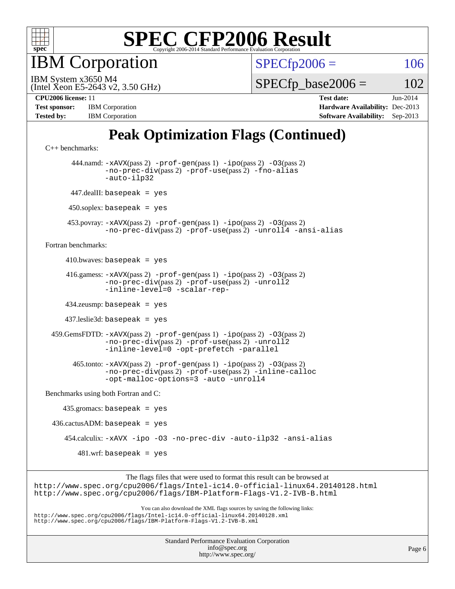

**BM** Corporation

 $SPECfp2006 = 106$  $SPECfp2006 = 106$ 

(Intel Xeon E5-2643 v2, 3.50 GHz) IBM System x3650 M4

 $SPECTp\_base2006 = 102$ 

| <b>Test sponsor:</b> | <b>IBM</b> Corporation |
|----------------------|------------------------|
| <b>Tested by:</b>    | <b>IBM</b> Corporation |

**[CPU2006 license:](http://www.spec.org/auto/cpu2006/Docs/result-fields.html#CPU2006license)** 11 **[Test date:](http://www.spec.org/auto/cpu2006/Docs/result-fields.html#Testdate)** Jun-2014 **[Hardware Availability:](http://www.spec.org/auto/cpu2006/Docs/result-fields.html#HardwareAvailability)** Dec-2013 **[Software Availability:](http://www.spec.org/auto/cpu2006/Docs/result-fields.html#SoftwareAvailability)** Sep-2013

## **[Peak Optimization Flags \(Continued\)](http://www.spec.org/auto/cpu2006/Docs/result-fields.html#PeakOptimizationFlags)**

```
C++ benchmarks: 
        444.namd: -xAVX(pass 2) -prof-gen(pass 1) -ipo(pass 2) -O3(pass 2)
                -no-prec-div(pass 2) -prof-use(pass 2) -fno-alias
                -auto-ilp32
       447.dealII: basepeak = yes
      450.soplex: basepeak = yes
      453.povray: -xAVX(pass 2) -prof-gen(pass 1) -ipo(pass 2) -O3(pass 2)
                -no-prec-div(pass 2) -prof-use(pass 2) -unroll4 -ansi-alias
Fortran benchmarks: 
     410.bwaves: basepeak = yes 416.gamess: -xAVX(pass 2) -prof-gen(pass 1) -ipo(pass 2) -O3(pass 2)
                -no-prec-div(pass 2) -prof-use(pass 2) -unroll2
                -inline-level=0 -scalar-rep-
      434.zeusmp: basepeak = yes
      437.leslie3d: basepeak = yes
  459.GemsFDTD: -xAVX(pass 2) -prof-gen(pass 1) -ipo(pass 2) -O3(pass 2)
                -no-prec-div(pass 2) -prof-use(pass 2) -unroll2
                -inline-level=0 -opt-prefetch -parallel
        465.tonto: -xAVX(pass 2) -prof-gen(pass 1) -ipo(pass 2) -O3(pass 2)
                -no-prec-div(pass 2) -prof-use(pass 2) -inline-calloc
                -opt-malloc-options=3-auto-unroll4
Benchmarks using both Fortran and C: 
     435.gromacs: basepeak = yes
 436.cactusADM: basepeak = yes 454.calculix: -xAVX -ipo -O3 -no-prec-div -auto-ilp32 -ansi-alias
        481.wrf: basepeak = yes
                     The flags files that were used to format this result can be browsed at
```
<http://www.spec.org/cpu2006/flags/Intel-ic14.0-official-linux64.20140128.html> <http://www.spec.org/cpu2006/flags/IBM-Platform-Flags-V1.2-IVB-B.html>

You can also download the XML flags sources by saving the following links: <http://www.spec.org/cpu2006/flags/Intel-ic14.0-official-linux64.20140128.xml> <http://www.spec.org/cpu2006/flags/IBM-Platform-Flags-V1.2-IVB-B.xml>